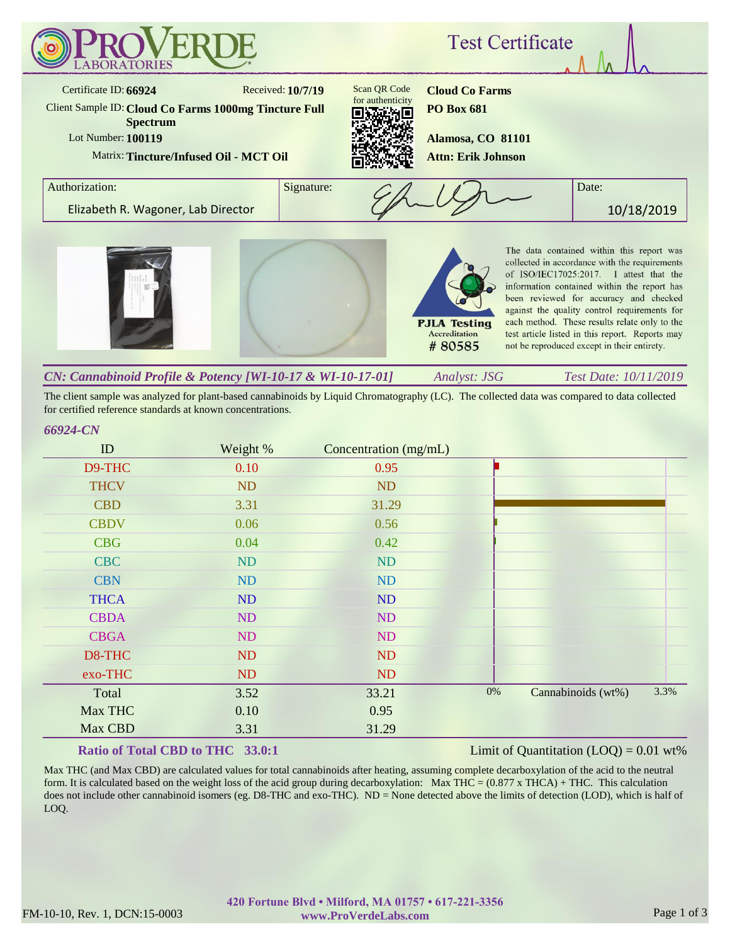

The client sample was analyzed for plant-based cannabinoids by Liquid Chromatography (LC). The collected data was compared to data collected for certified reference standards at known concentrations.

## *66924-CN*

| ID          | Weight %  | Concentration (mg/mL) |       |                    |      |
|-------------|-----------|-----------------------|-------|--------------------|------|
| D9-THC      | 0.10      | 0.95                  |       |                    |      |
| <b>THCV</b> | <b>ND</b> | <b>ND</b>             |       |                    |      |
| <b>CBD</b>  | 3.31      | 31.29                 |       |                    |      |
| <b>CBDV</b> | 0.06      | 0.56                  |       |                    |      |
| <b>CBG</b>  | 0.04      | 0.42                  |       |                    |      |
| <b>CBC</b>  | ND        | <b>ND</b>             |       |                    |      |
| <b>CBN</b>  | ND        | ND                    |       |                    |      |
| <b>THCA</b> | ND        | ND                    |       |                    |      |
| <b>CBDA</b> | ND        | ND                    |       |                    |      |
| <b>CBGA</b> | ND        | ND                    |       |                    |      |
| D8-THC      | ND        | <b>ND</b>             |       |                    |      |
| exo-THC     | ND        | <b>ND</b>             |       |                    |      |
| Total       | 3.52      | 33.21                 | $0\%$ | Cannabinoids (wt%) | 3.3% |
| Max THC     | 0.10      | 0.95                  |       |                    |      |
| Max CBD     | 3.31      | 31.29                 |       |                    |      |

## **Ratio of Total CBD to THC 33.0:1**

### Limit of Quantitation  $(LOQ) = 0.01$  wt%

Max THC (and Max CBD) are calculated values for total cannabinoids after heating, assuming complete decarboxylation of the acid to the neutral form. It is calculated based on the weight loss of the acid group during decarboxylation: Max THC =  $(0.877 \times THCA) + THC$ . This calculation does not include other cannabinoid isomers (eg. D8-THC and exo-THC). ND = None detected above the limits of detection (LOD), which is half of LOQ.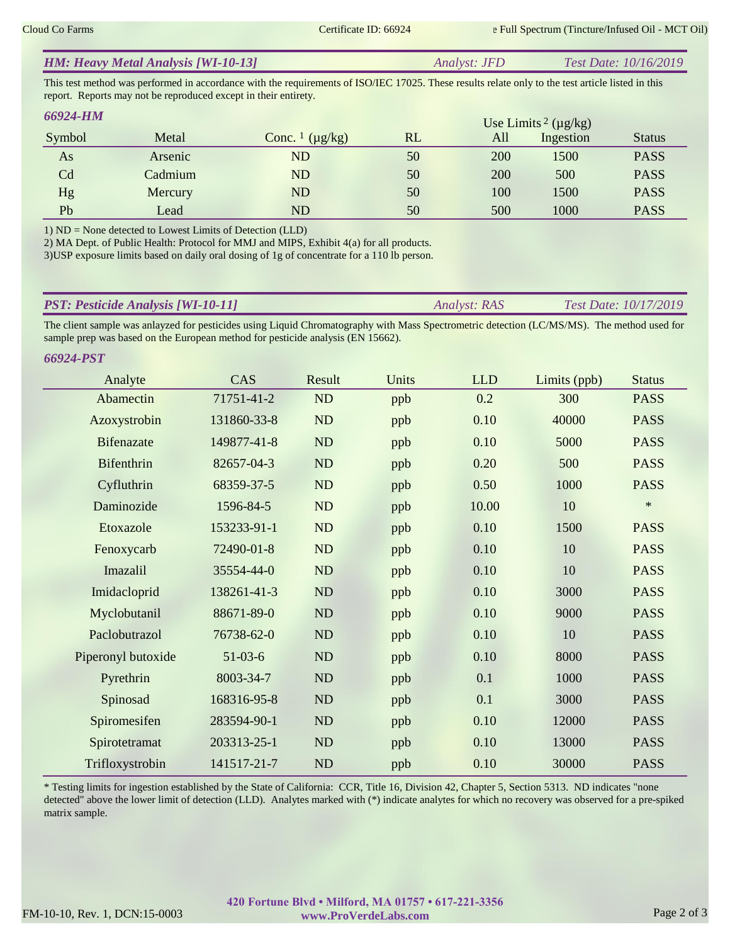| <b>HM: Heavy Metal Analysis [WI-10-13]</b> | <i>Analyst: JFD</i> | <i>Test Date: 10/16/2019</i> |
|--------------------------------------------|---------------------|------------------------------|
|                                            |                     |                              |

This test method was performed in accordance with the requirements of ISO/IEC 17025. These results relate only to the test article listed in this report. Reports may not be reproduced except in their entirety.

| <b>66924-HM</b> |         |                                     |    |     | Use Limits <sup>2</sup> ( $\mu$ g/kg) |               |
|-----------------|---------|-------------------------------------|----|-----|---------------------------------------|---------------|
| Symbol          | Metal   | Conc. $\frac{1}{\mu}$ ( $\mu$ g/kg) | RL | All | Ingestion                             | <b>Status</b> |
| As              | Arsenic | ND                                  | 50 | 200 | 1500                                  | <b>PASS</b>   |
| Cd              | Cadmium | ND                                  | 50 | 200 | 500                                   | <b>PASS</b>   |
| Hg              | Mercury | ND                                  | 50 | 100 | 1500                                  | <b>PASS</b>   |
| Pb              | Lead    | ND                                  | 50 | 500 | 1000                                  | <b>PASS</b>   |

1) ND = None detected to Lowest Limits of Detection (LLD)

2) MA Dept. of Public Health: Protocol for MMJ and MIPS, Exhibit 4(a) for all products.

3)USP exposure limits based on daily oral dosing of 1g of concentrate for a 110 lb person.

| <b>PST: Pesticide Analysis [WI-10-11]</b> | <i><b>Analyst: RAS</b></i> | <i>Test Date: 10/17/2019</i> |
|-------------------------------------------|----------------------------|------------------------------|
|                                           |                            |                              |

The client sample was anlayzed for pesticides using Liquid Chromatography with Mass Spectrometric detection (LC/MS/MS). The method used for sample prep was based on the European method for pesticide analysis (EN 15662).

| 66924-PST          |             |           |       |            |              |               |
|--------------------|-------------|-----------|-------|------------|--------------|---------------|
| Analyte            | CAS         | Result    | Units | <b>LLD</b> | Limits (ppb) | <b>Status</b> |
| Abamectin          | 71751-41-2  | <b>ND</b> | ppb   | 0.2        | 300          | <b>PASS</b>   |
| Azoxystrobin       | 131860-33-8 | <b>ND</b> | ppb   | 0.10       | 40000        | <b>PASS</b>   |
| <b>Bifenazate</b>  | 149877-41-8 | <b>ND</b> | ppb   | 0.10       | 5000         | <b>PASS</b>   |
| Bifenthrin         | 82657-04-3  | ND        | ppb   | 0.20       | 500          | <b>PASS</b>   |
| Cyfluthrin         | 68359-37-5  | <b>ND</b> | ppb   | 0.50       | 1000         | <b>PASS</b>   |
| Daminozide         | 1596-84-5   | <b>ND</b> | ppb   | 10.00      | 10           | $\ast$        |
| Etoxazole          | 153233-91-1 | <b>ND</b> | ppb   | 0.10       | 1500         | <b>PASS</b>   |
| Fenoxycarb         | 72490-01-8  | <b>ND</b> | ppb   | 0.10       | 10           | <b>PASS</b>   |
| Imazalil           | 35554-44-0  | <b>ND</b> | ppb   | 0.10       | 10           | <b>PASS</b>   |
| Imidacloprid       | 138261-41-3 | <b>ND</b> | ppb   | 0.10       | 3000         | <b>PASS</b>   |
| Myclobutanil       | 88671-89-0  | <b>ND</b> | ppb   | 0.10       | 9000         | <b>PASS</b>   |
| Paclobutrazol      | 76738-62-0  | <b>ND</b> | ppb   | 0.10       | 10           | <b>PASS</b>   |
| Piperonyl butoxide | $51-03-6$   | <b>ND</b> | ppb   | 0.10       | 8000         | <b>PASS</b>   |
| Pyrethrin          | 8003-34-7   | <b>ND</b> | ppb   | 0.1        | 1000         | <b>PASS</b>   |
| Spinosad           | 168316-95-8 | <b>ND</b> | ppb   | 0.1        | 3000         | <b>PASS</b>   |
| Spiromesifen       | 283594-90-1 | <b>ND</b> | ppb   | 0.10       | 12000        | <b>PASS</b>   |
| Spirotetramat      | 203313-25-1 | <b>ND</b> | ppb   | 0.10       | 13000        | <b>PASS</b>   |
| Trifloxystrobin    | 141517-21-7 | ND        | ppb   | 0.10       | 30000        | <b>PASS</b>   |

\* Testing limits for ingestion established by the State of California: CCR, Title 16, Division 42, Chapter 5, Section 5313. ND indicates "none detected" above the lower limit of detection (LLD). Analytes marked with (\*) indicate analytes for which no recovery was observed for a pre-spiked matrix sample.